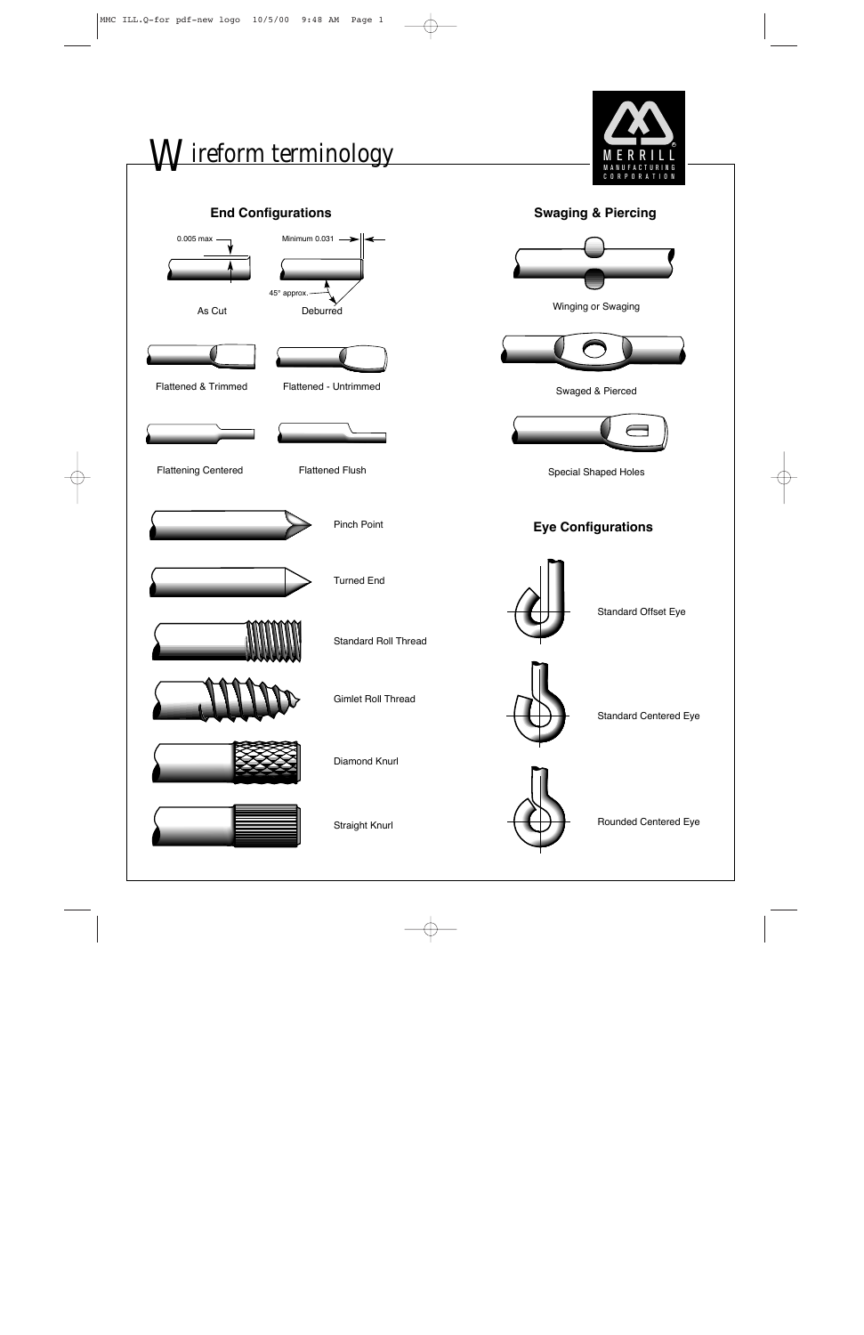